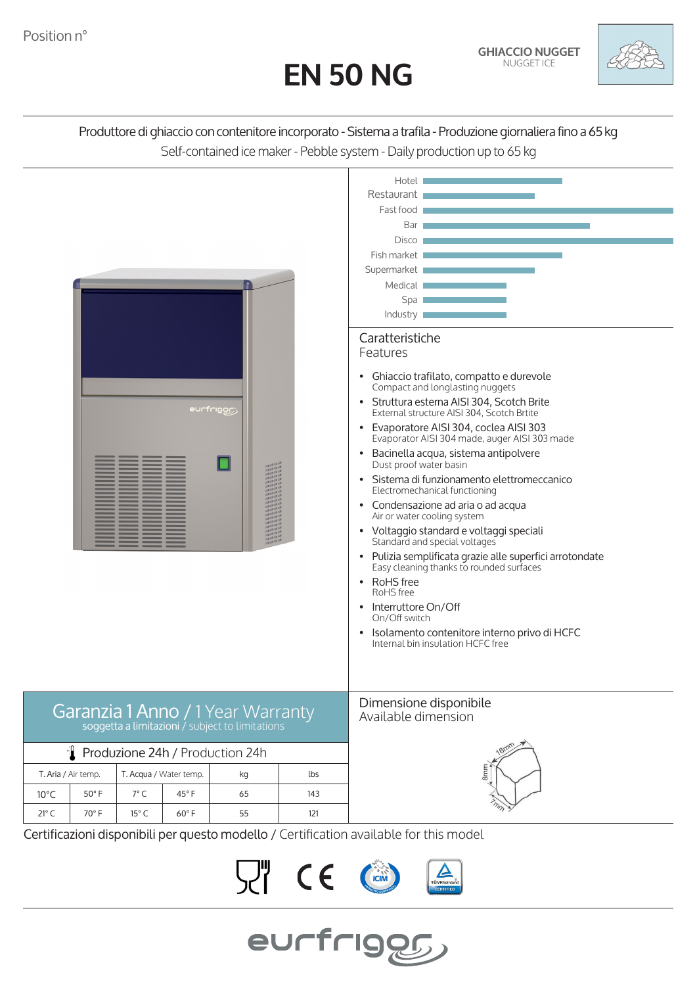



## Produttore di ghiaccio con contenitore incorporato - Sistema a trafila - Produzione giornaliera fino a 65 kg Self-contained ice maker - Pebble system - Daily production up to 65 kg



Certificazioni disponibili per questo modello / Certification available for this model

 $C \in$ 

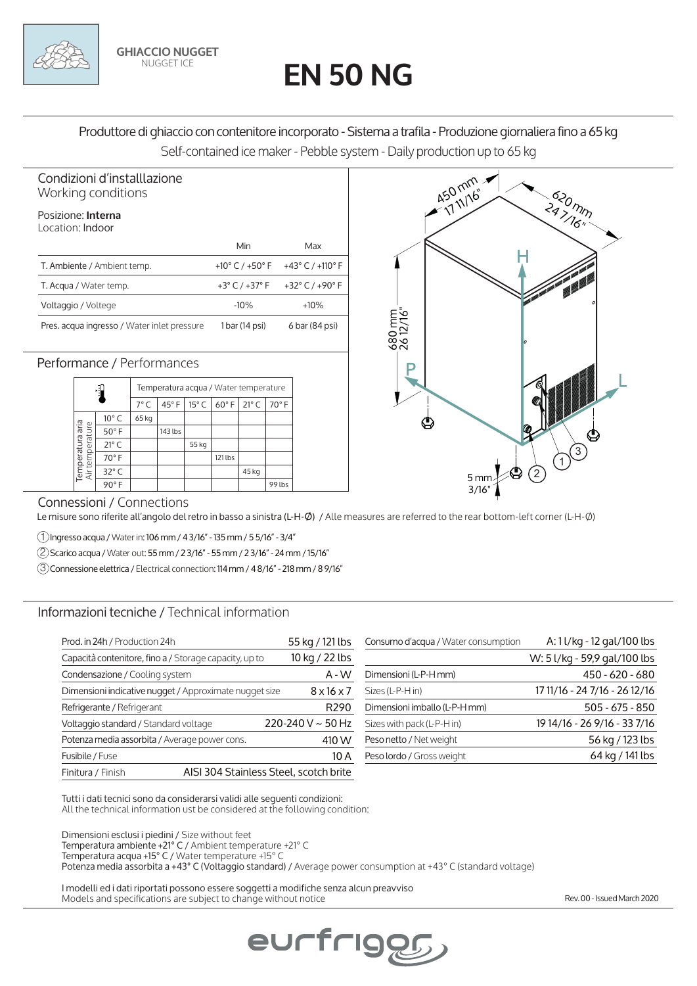# **EN 50 NG**

Produttore di ghiaccio con contenitore incorporato - Sistema a trafila - Produzione giornaliera fino a 65 kg Self-contained ice maker - Pebble system - Daily production up to 65 kg

#### Condizioni d'installlazione Working conditions

### Posizione: **Interna**

| Location: Indoor                            |                                     |                                      |
|---------------------------------------------|-------------------------------------|--------------------------------------|
|                                             | Min                                 | Max                                  |
| T. Ambiente / Ambient temp.                 | +10 $^{\circ}$ C / +50 $^{\circ}$ F | +43 $^{\circ}$ C / +110 $^{\circ}$ F |
| T. Acqua / Water temp.                      | +3 $^{\circ}$ C / +37 $^{\circ}$ F  | +32 $^{\circ}$ C / +90 $^{\circ}$ F  |
| Voltaggio / Voltege                         | $-10%$                              | $+10%$                               |
| Pres. acqua ingresso / Water inlet pressure | 1 bar (14 psi)                      | 6 bar (84 psi)                       |

**GHIACCIO NUGGET** NUGGET ICE

### Performance / Performances

|                                     |                | Temperatura acqua / Water temperature |                |                |                |                |        |
|-------------------------------------|----------------|---------------------------------------|----------------|----------------|----------------|----------------|--------|
|                                     |                | $7^{\circ}$ C                         | $45^{\circ}$ F | $15^{\circ}$ C | $60^{\circ}$ F | $21^{\circ}$ C | 70°F   |
| Temperatura aria<br>Air temperature | $10^{\circ}$ C | 65 kg                                 |                |                |                |                |        |
|                                     | $50^{\circ}$ F |                                       | 143 lbs        |                |                |                |        |
|                                     | $21^{\circ}$ C |                                       |                | 55 kg          |                |                |        |
|                                     | 70°F           |                                       |                |                | 121 lbs        |                |        |
|                                     | $32^{\circ}$ C |                                       |                |                |                | 45 kg          |        |
|                                     | $90^\circ$ F   |                                       |                |                |                |                | 99 lbs |



#### Connessioni / Connections

Le misure sono riferite all'angolo del retro in basso a sinistra (L-H-Ø) / Alle measures are referred to the rear bottom-left corner (L-H-Ø)

1 Ingresso acqua / Water in: 106 mm / 4 3/16" - 135 mm / 5 5/16" - 3/4"

2 Scarico acqua / Water out: 55 mm / 2 3/16" - 55 mm / 2 3/16" - 24 mm / 15/16"

3 Connessione elettrica / Electrical connection: 114 mm / 4 8/16" - 218 mm / 8 9/16"

#### Informazioni tecniche / Technical information

| Prod. in 24h / Production 24h                               | 55 kg / 121 lbs            | Consumo d'acqua / Water consumption | A: 11/kg - 12 gal/100 lbs     |
|-------------------------------------------------------------|----------------------------|-------------------------------------|-------------------------------|
| Capacità contenitore, fino a / Storage capacity, up to      | 10 kg / 22 lbs             |                                     | W: 5 l/kg - 59,9 gal/100 lbs  |
| Condensazione / Cooling system                              | $A - W$                    | Dimensioni (L-P-H mm)               | 450 - 620 - 680               |
| Dimensioni indicative nugget / Approximate nugget size      | $8 \times 16 \times 7$     | Sizes (L-P-H in)                    | 17 11/16 - 24 7/16 - 26 12/16 |
| Refrigerante / Refrigerant                                  | R <sub>290</sub>           | Dimensioni imballo (L-P-H mm)       | $505 - 675 - 850$             |
| Voltaggio standard / Standard voltage                       | $220 - 240$ V $\sim$ 50 Hz | Sizes with pack (L-P-H in)          | 19 14/16 - 26 9/16 - 33 7/16  |
| Potenza media assorbita / Average power cons.               | 410 W                      | Peso netto / Net weight             | 56 kg / 123 lbs               |
| Fusibile / Fuse                                             | 10 A                       | Peso lordo / Gross weight           | 64 kg / 141 lbs               |
| AISI 304 Stainless Steel, scotch brite<br>Finitura / Finish |                            |                                     |                               |

Tutti i dati tecnici sono da considerarsi validi alle seguenti condizioni: All the technical information ust be considered at the following condition:

Dimensioni esclusi i piedini / Size without feet Temperatura ambiente +21° C / Ambient temperature +21° C Temperatura acqua +15° C / Water temperature +15° C Potenza media assorbita a +43° C (Voltaggio standard) / Average power consumption at +43° C (standard voltage)

eurfriggg

I modelli ed i dati riportati possono essere soggetti a modifiche senza alcun preavviso Models and specifications are subject to change without notice

Rev. 00 - Issued March 2020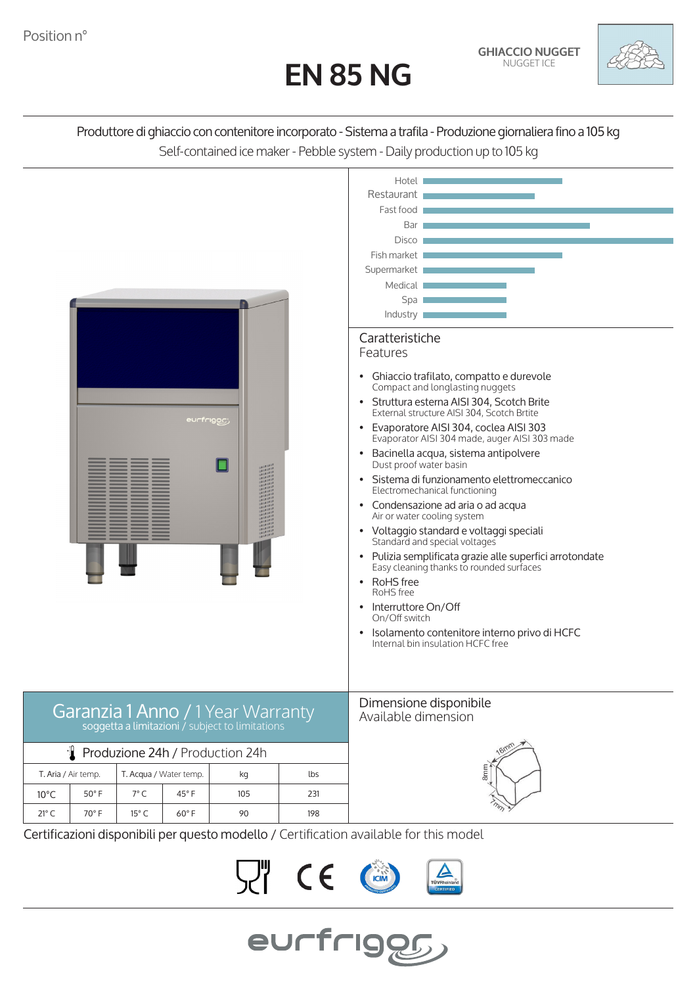# **EN 85 NG**



# Produttore di ghiaccio con contenitore incorporato - Sistema a trafila - Produzione giornaliera fino a 105 kg Self-contained ice maker - Pebble system - Daily production up to 105 kg



Certificazioni disponibili per questo modello / Certification available for this model

 $C \in$ 

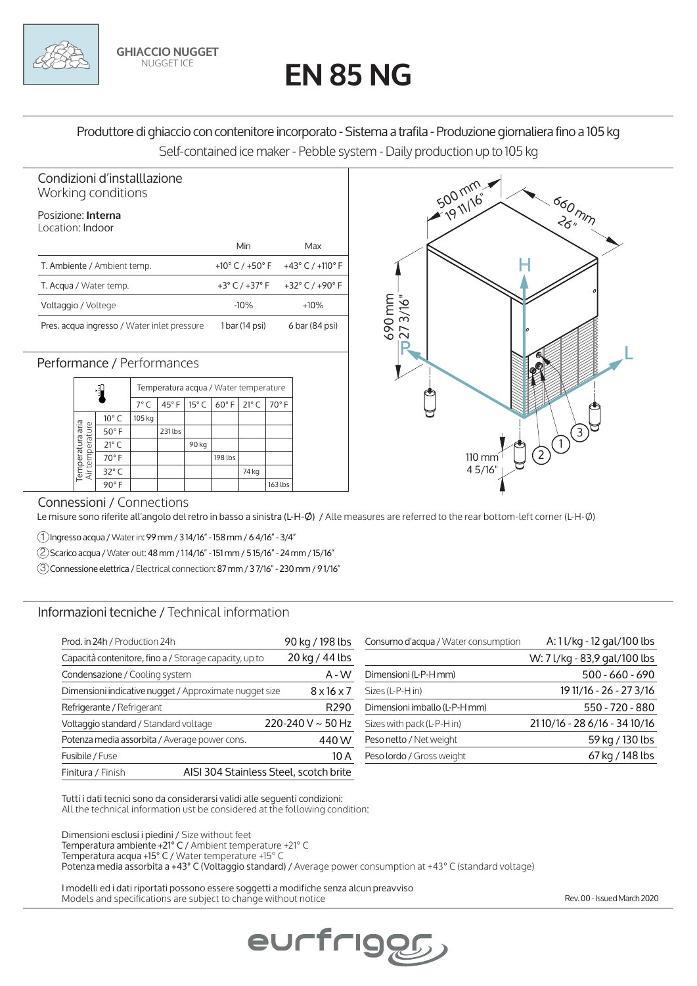# **EN 85 NG**

Produttore di ghiaccio con contenitore incorporato - Sistema a trafila - Produzione giornaliera fino a 105 kg Self-contained ice maker - Pebble system - Daily production up to 105 kg

#### Condizioni d'installlazione Working conditions

## Posizione: **Interna**

| Location: Indoor                            |                                     |                                      |
|---------------------------------------------|-------------------------------------|--------------------------------------|
|                                             | Min                                 | Max                                  |
| T. Ambiente / Ambient temp.                 | +10 $^{\circ}$ C / +50 $^{\circ}$ F | +43 $^{\circ}$ C / +110 $^{\circ}$ F |
| T. Acqua / Water temp.                      | +3 $^{\circ}$ C / +37 $^{\circ}$ F  | +32 $^{\circ}$ C / +90 $^{\circ}$ F  |
| Voltaggio / Voltege                         | $-10%$                              | $+10%$                               |
| Pres. acqua ingresso / Water inlet pressure | 1 bar (14 psi)                      | 6 bar (84 psi)                       |

**GHIACCIO NUGGET** NUGGET ICE

### Performance / Performances

|                                     |                | Temperatura acqua / Water temperature |                |                |              |                |         |  |
|-------------------------------------|----------------|---------------------------------------|----------------|----------------|--------------|----------------|---------|--|
|                                     |                | $7^{\circ}$ C                         | $45^{\circ}$ F | $15^{\circ}$ C | $60^\circ$ F | $21^{\circ}$ C | 70°F    |  |
| Temperatura aria<br>Air temperature | $10^{\circ}$ C | 105 kg                                |                |                |              |                |         |  |
|                                     | $50^\circ$ F   |                                       | 231 lbs        |                |              |                |         |  |
|                                     | $21^{\circ}$ C |                                       |                | 90 kg          |              |                |         |  |
|                                     | 70°F           |                                       |                |                | 198 lbs      |                |         |  |
|                                     | $32^{\circ}$ C |                                       |                |                |              | 74 kg          |         |  |
|                                     | 90°F           |                                       |                |                |              |                | 163 lbs |  |



#### Connessioni / Connections

Le misure sono riferite all'angolo del retro in basso a sinistra (L-H-Ø) / Alle measures are referred to the rear bottom-left corner (L-H-Ø)

1 Ingresso acqua / Water in: 99 mm / 3 14/16" - 158 mm / 6 4/16" - 3/4"

2 Scarico acqua / Water out: 48 mm / 1 14/16" - 151 mm / 5 15/16" - 24 mm / 15/16"

3 Connessione elettrica / Electrical connection: 87 mm / 3 7/16" - 230 mm / 9 1/16"

#### Informazioni tecniche / Technical information

| Prod. in 24h / Production 24h                               | 90 kg / 198 lbs        | Consumo d'acqua / Water consumption | A: 11/kg - 12 gal/100 lbs    |
|-------------------------------------------------------------|------------------------|-------------------------------------|------------------------------|
| Capacità contenitore, fino a / Storage capacity, up to      | 20 kg / 44 lbs         |                                     | W: 7 l/kg - 83,9 gal/100 lbs |
| Condensazione / Cooling system                              | $A - W$                | Dimensioni (L-P-H mm)               | $500 - 660 - 690$            |
| Dimensioni indicative nugget / Approximate nugget size      | $8 \times 16 \times 7$ | Sizes (L-P-H in)                    | 19 11/16 - 26 - 27 3/16      |
| Refrigerante / Refrigerant                                  | R <sub>290</sub>       | Dimensioni imballo (L-P-H mm)       | 550 - 720 - 880              |
| Voltaggio standard / Standard voltage                       | 220-240 V $\sim$ 50 Hz | Sizes with pack (L-P-H in)          | 2110/16 - 28 6/16 - 34 10/16 |
| Potenza media assorbita / Average power cons.               | 440W                   | Peso netto / Net weight             | 59 kg / 130 lbs              |
| Fusibile / Fuse                                             | 10A                    | Peso lordo / Gross weight           | 67 kg / 148 lbs              |
| AISI 304 Stainless Steel, scotch brite<br>Finitura / Finish |                        |                                     |                              |

Tutti i dati tecnici sono da considerarsi validi alle seguenti condizioni: All the technical information ust be considered at the following condition:

Dimensioni esclusi i piedini / Size without feet Temperatura ambiente +21° C / Ambient temperature +21° C Temperatura acqua +15° C / Water temperature +15° C Potenza media assorbita a +43° C (Voltaggio standard) / Average power consumption at +43° C (standard voltage)

eurfriggg

I modelli ed i dati riportati possono essere soggetti a modifiche senza alcun preavviso Models and specifications are subject to change without notice Rev. 00 - Issued March 2020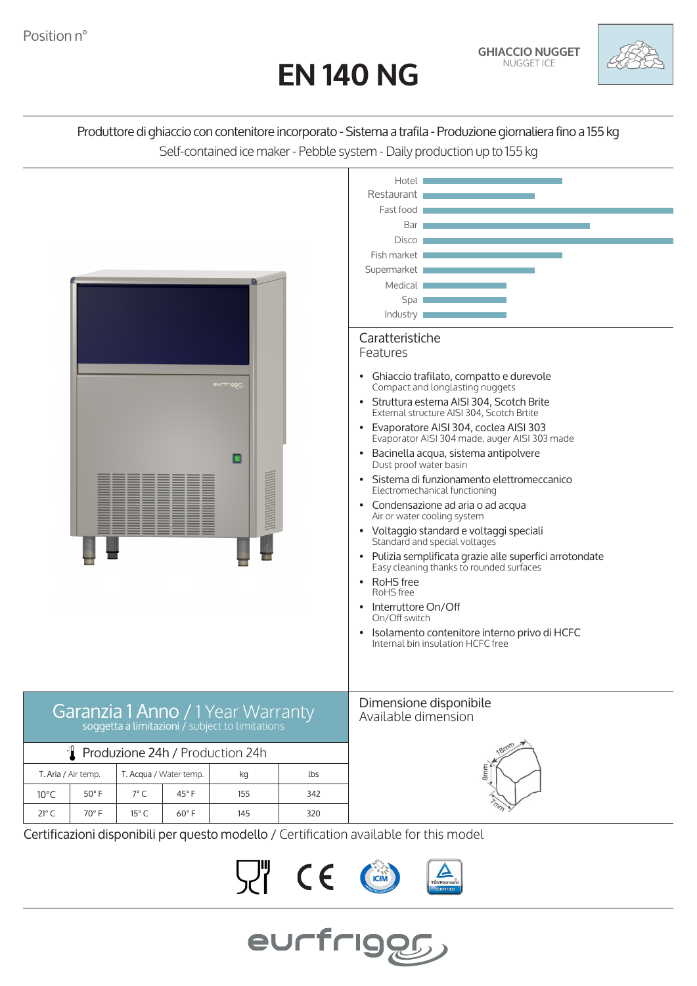# **EN 140 NG**

**GHIACCIO NUGGET** NUGGET ICE



# Produttore di ghiaccio con contenitore incorporato - Sistema a trafila - Produzione giornaliera fino a 155 kg Self-contained ice maker - Pebble system - Daily production up to 155 kg



Certificazioni disponibili per questo modello / Certification available for this model

 $C \in$